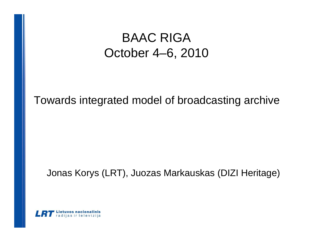## Towards integrated model of broadcasting archive

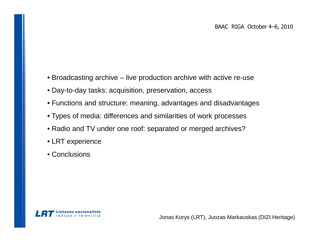- Broadcasting archive live production archive with active re-use
- Day-to-day tasks: acquisition, preservation, access
- Functions and structure: meaning, advantages and disadvantages
- Types of media: differences and similarities of work processes
- Radio and TV under one roof: separated or merged archives?
- LRT experience
- Conclusions

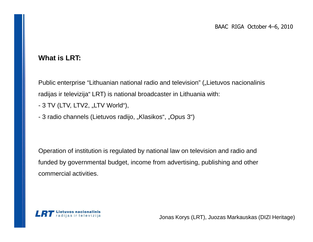#### **What is LRT:**

Public enterprise "Lithuanian national radio and television" ("Lietuvos nacionalinis radijas ir televizija" LRT) is national broadcaster in Lithuania with:

- 3 TV (LTV, LTV2, "LTV World"),
- 3 radio channels (Lietuvos radijo, "Klasikos", "Opus 3")

Operation of institution is regulated by national law on television and radio and funded by governmental budget, income from advertising, publishing and other commercial activities.

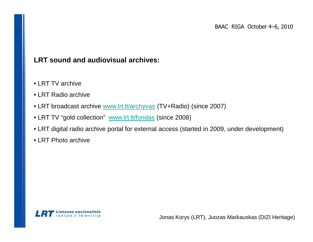#### **LRT sound and audiovisual archives:**

- LRT TV archive
- LRT Radio archive
- LRT broadcast archive www.lrt.lt/archyvas (TV+Radio) (since 2007)
- LRT TV "gold collection" www.lrt.lt/fondas (since 2008)
- LRT digital radio archive portal for external access (started in 2009, under development)
- LRT Photo archive

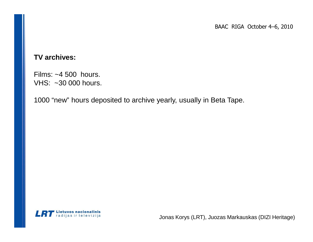#### **TV archives:**

Films: ~4 500 hours. VHS: ~30 000 hours.

1000 "new" hours deposited to archive yearly, usually in Beta Tape.

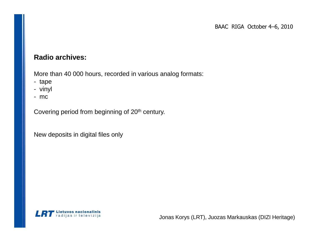#### **Radio archives:**

More than 40 000 hours, recorded in various analog formats:

- tape
- vinyl
- mc

Covering period from beginning of 20<sup>th</sup> century.

New deposits in digital files only

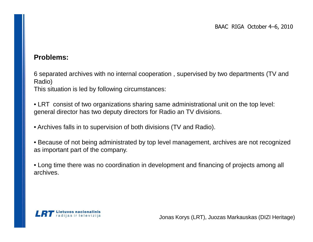#### **Problems:**

6 separated archives with no internal cooperation , supervised by two departments (TV and Radio)

This situation is led by following circumstances:

• LRT consist of two organizations sharing same administrational unit on the top level: general director has two deputy directors for Radio an TV divisions.

• Archives falls in to supervision of both divisions (TV and Radio).

• Because of not being administrated by top level management, archives are not recognized as important part of the company.

• Long time there was no coordination in development and financing of projects among all archives.

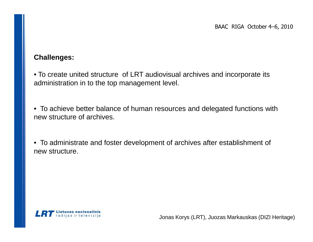#### **Challenges:**

• To create united structure of LRT audiovisual archives and incorporate its administration in to the top management level.

• To achieve better balance of human resources and delegated functions with new structure of archives.

• To administrate and foster development of archives after establishment of new structure.

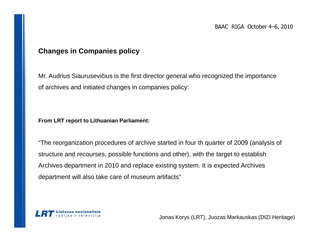#### **Changes in Companies policy**

Mr. Audrius Siaurusevičius is the first director general who recognized the importance of archives and initiated changes in companies policy:

**From LRT report to Lithuanian Parliament:**

"The reorganization procedures of archive started in four th quarter of 2009 (analysis of structure and recourses, possible functions and other), with the target to establish Archives department in 2010 and replace existing system. It is expected Archives department will also take care of museum artifacts"

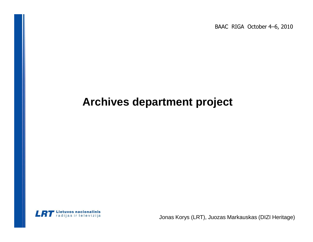## **Archives department project**

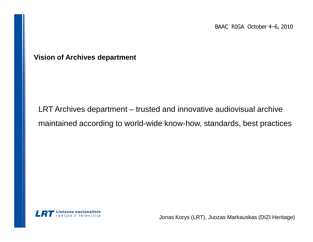**Vision of Archives department**

LRT Archives department – trusted and innovative audiovisual archive maintained according to world-wide know-how, standards, best practices

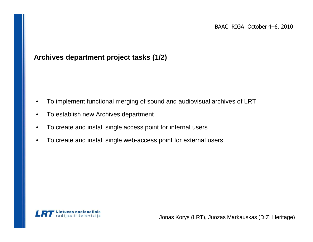#### **Archives department project tasks (1/2)**

- •To implement functional merging of sound and audiovisual archives of LRT
- •To establish new Archives department
- •To create and install single access point for internal users
- •To create and install single web-access point for external users

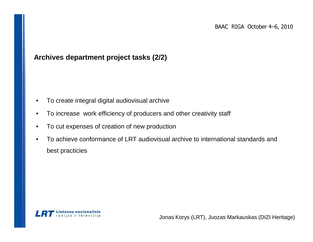#### **Archives department project tasks (2/2)**

- •To create integral digital audiovisual archive
- •To increase work efficiency of producers and other creativity staff
- •To cut expenses of creation of new production
- • To achieve conformance of LRT audiovisual archive to international standards and best practicies

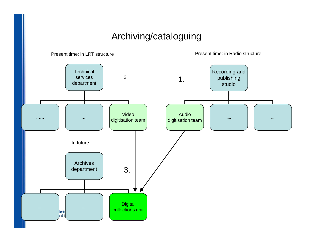## Archiving/cataloguing

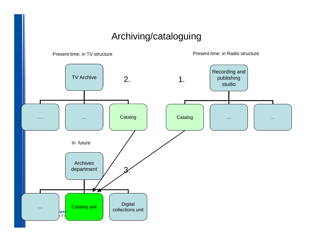## Archiving/cataloguing

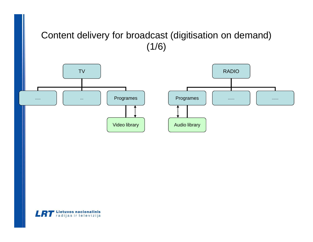## Content delivery for broadcast (digitisation on demand)  $(1/6)$



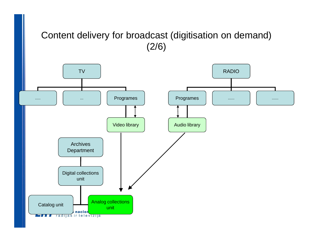## Content delivery for broadcast (digitisation on demand) (2/6)

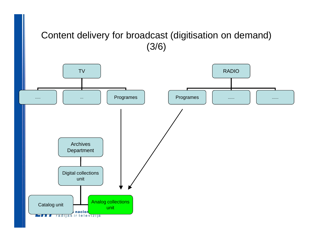## Content delivery for broadcast (digitisation on demand) (3/6)

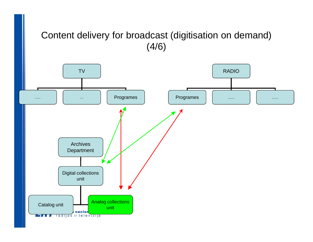## Content delivery for broadcast (digitisation on demand) (4/6)

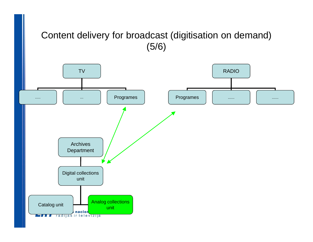## Content delivery for broadcast (digitisation on demand) (5/6)

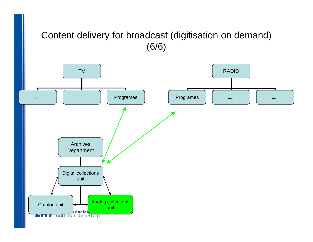## Content delivery for broadcast (digitisation on demand) (6/6)

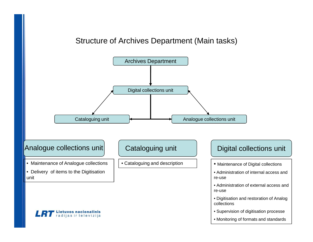#### Structure of Archives Department (Main tasks)



**LRT** Lietuvos nacionalinis

- Supervision of digitisation processe
- Monitoring of formats and standards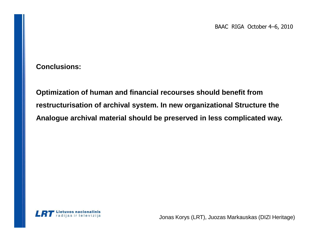**Conclusions:**

**Optimization of human and financial recourses should benefit from restructurisation of archival system. In new organizational Structure the Analogue archival material should be preserved in less complicated way.**